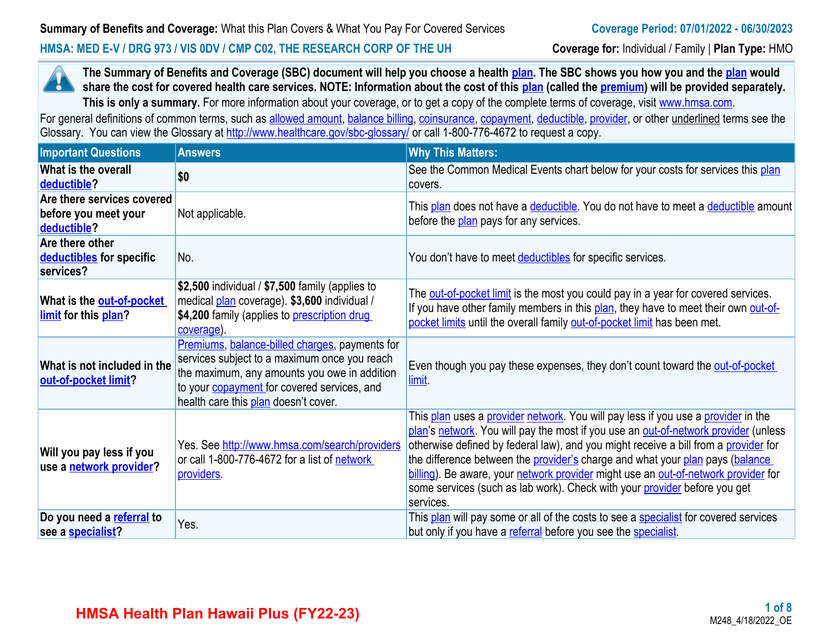#### **HMSA: MED E-V / DRG 973 / VIS 0DV / CMP C02, THE RESEARCH CORP OF THE UH Coverage for:** Individual / Family | **Plan Type:** HMO



**The Summary of Benefits and Coverage (SBC) document will help you choose a health [plan.](https://www.healthcare.gov/sbc-glossary/#plan) The SBC shows you how you and the [plan](https://www.healthcare.gov/sbc-glossary/#plan) would share the cost for covered health care services. NOTE: Information about the cost of this <b>plan** (called the **premium**) will be provided separately. This is only a summary. For more information about your coverage, or to get a copy of the complete terms of coverage, visit [www.hmsa.com](http://www.hmsa.com/).

For general definitions of common terms, such as [allowed amount](https://www.healthcare.gov/sbc-glossary/#allowed-amount), [balance billing,](https://www.healthcare.gov/sbc-glossary/#balance-billing) [coinsurance,](https://www.healthcare.gov/sbc-glossary/#coinsurance) [copayment](https://www.healthcare.gov/sbc-glossary/#copayment), [deductible](https://www.healthcare.gov/sbc-glossary/#deductible), [provider,](https://www.healthcare.gov/sbc-glossary/#provider) or other underlined terms see the Glossary. You can view the Glossary at <http://www.healthcare.gov/sbc-glossary/> or call 1-800-776-4672 to request a copy.

| <b>Important Questions</b>                                        | <b>Answers</b>                                                                                                                                                                                                                               | <b>Why This Matters:</b>                                                                                                                                                                                                                                                                                                                                                                                                                                                                                                         |
|-------------------------------------------------------------------|----------------------------------------------------------------------------------------------------------------------------------------------------------------------------------------------------------------------------------------------|----------------------------------------------------------------------------------------------------------------------------------------------------------------------------------------------------------------------------------------------------------------------------------------------------------------------------------------------------------------------------------------------------------------------------------------------------------------------------------------------------------------------------------|
| What is the overall<br>deductible?                                | \$0                                                                                                                                                                                                                                          | See the Common Medical Events chart below for your costs for services this plan<br>covers.                                                                                                                                                                                                                                                                                                                                                                                                                                       |
| Are there services covered<br>before you meet your<br>deductible? | Not applicable.                                                                                                                                                                                                                              | This plan does not have a deductible. You do not have to meet a deductible amount<br>before the plan pays for any services.                                                                                                                                                                                                                                                                                                                                                                                                      |
| Are there other<br>deductibles for specific<br>services?          | No.                                                                                                                                                                                                                                          | You don't have to meet deductibles for specific services.                                                                                                                                                                                                                                                                                                                                                                                                                                                                        |
| What is the out-of-pocket<br>limit for this plan?                 | \$2,500 individual / \$7,500 family (applies to<br>medical plan coverage). \$3,600 individual /<br>\$4,200 family (applies to <b>prescription drug</b><br>coverage).                                                                         | The out-of-pocket limit is the most you could pay in a year for covered services.<br>If you have other family members in this plan, they have to meet their own out-of-<br>pocket limits until the overall family out-of-pocket limit has been met.                                                                                                                                                                                                                                                                              |
| What is not included in the<br>out-of-pocket limit?               | Premiums, balance-billed charges, payments for<br>services subject to a maximum once you reach<br>the maximum, any amounts you owe in addition<br>to your <b>copayment</b> for covered services, and<br>health care this plan doesn't cover. | Even though you pay these expenses, they don't count toward the out-of-pocket<br>limit.                                                                                                                                                                                                                                                                                                                                                                                                                                          |
| Will you pay less if you<br>use a network provider?               | Yes. See http://www.hmsa.com/search/providers<br>or call 1-800-776-4672 for a list of network<br>providers.                                                                                                                                  | This plan uses a provider network. You will pay less if you use a provider in the<br>plan's network. You will pay the most if you use an out-of-network provider (unless<br>otherwise defined by federal law), and you might receive a bill from a provider for<br>the difference between the provider's charge and what your plan pays (balance<br>billing). Be aware, your network provider might use an out-of-network provider for<br>some services (such as lab work). Check with your provider before you get<br>services. |
| Do you need a referral to<br>see a <b>specialist?</b>             | Yes.                                                                                                                                                                                                                                         | This plan will pay some or all of the costs to see a specialist for covered services<br>but only if you have a referral before you see the specialist.                                                                                                                                                                                                                                                                                                                                                                           |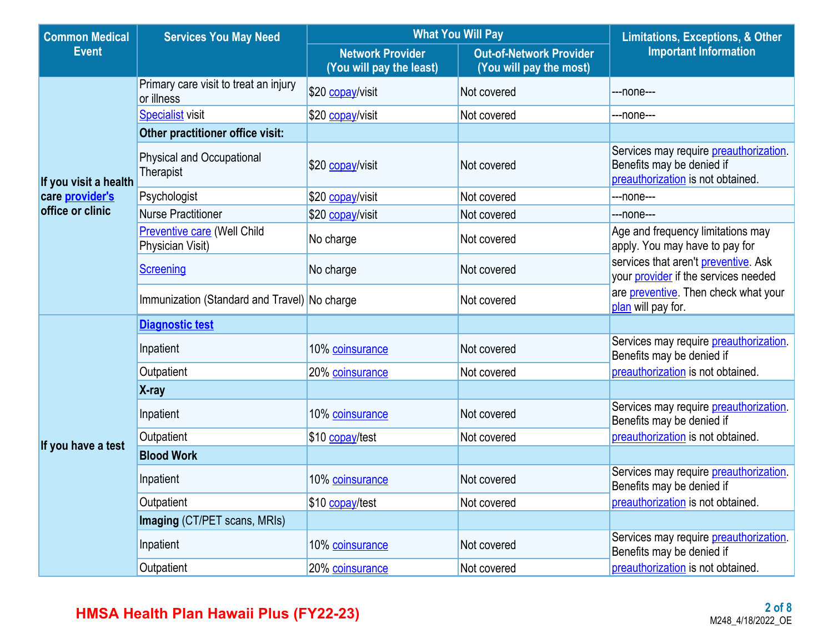| <b>Common Medical</b>  | <b>Services You May Need</b>                           | <b>What You Will Pay</b>                            | <b>Limitations, Exceptions, &amp; Other</b>               |                                                                                                          |  |
|------------------------|--------------------------------------------------------|-----------------------------------------------------|-----------------------------------------------------------|----------------------------------------------------------------------------------------------------------|--|
| <b>Event</b>           |                                                        | <b>Network Provider</b><br>(You will pay the least) | <b>Out-of-Network Provider</b><br>(You will pay the most) | <b>Important Information</b>                                                                             |  |
|                        | Primary care visit to treat an injury<br>or illness    | \$20 copay/visit                                    | Not covered                                               | ---none---                                                                                               |  |
|                        | <b>Specialist visit</b>                                | \$20 copay/visit                                    | Not covered                                               | ---none---                                                                                               |  |
|                        | Other practitioner office visit:                       |                                                     |                                                           |                                                                                                          |  |
| If you visit a health  | <b>Physical and Occupational</b><br>Therapist          | \$20 copay/visit                                    | Not covered                                               | Services may require preauthorization.<br>Benefits may be denied if<br>preauthorization is not obtained. |  |
| care <i>provider's</i> | Psychologist                                           | \$20 copay/visit                                    | Not covered                                               | ---none---                                                                                               |  |
| office or clinic       | <b>Nurse Practitioner</b>                              | \$20 copay/visit                                    | Not covered                                               | ---none---                                                                                               |  |
|                        | <b>Preventive care (Well Child</b><br>Physician Visit) | No charge                                           | Not covered                                               | Age and frequency limitations may<br>apply. You may have to pay for                                      |  |
|                        | <b>Screening</b>                                       | No charge                                           | Not covered                                               | services that aren't preventive. Ask<br>your provider if the services needed                             |  |
|                        | Immunization (Standard and Travel) No charge           |                                                     | Not covered                                               | are <b>preventive</b> . Then check what your<br>plan will pay for.                                       |  |
|                        | <b>Diagnostic test</b>                                 |                                                     |                                                           |                                                                                                          |  |
|                        | Inpatient                                              | 10% coinsurance                                     | Not covered                                               | Services may require preauthorization.<br>Benefits may be denied if                                      |  |
|                        | Outpatient                                             | 20% coinsurance                                     | Not covered                                               | preauthorization is not obtained.                                                                        |  |
|                        | X-ray                                                  |                                                     |                                                           |                                                                                                          |  |
|                        | Inpatient                                              | 10% coinsurance                                     | Not covered                                               | Services may require preauthorization.<br>Benefits may be denied if                                      |  |
| If you have a test     | Outpatient                                             | \$10 copay/test                                     | Not covered                                               | preauthorization is not obtained.                                                                        |  |
|                        | <b>Blood Work</b>                                      |                                                     |                                                           |                                                                                                          |  |
|                        | Inpatient                                              | 10% coinsurance                                     | Not covered                                               | Services may require preauthorization.<br>Benefits may be denied if                                      |  |
|                        | Outpatient                                             | \$10 copay/test                                     | Not covered                                               | preauthorization is not obtained.                                                                        |  |
|                        | Imaging (CT/PET scans, MRIs)                           |                                                     |                                                           |                                                                                                          |  |
|                        | Inpatient                                              | 10% coinsurance                                     | Not covered                                               | Services may require preauthorization.<br>Benefits may be denied if                                      |  |
|                        | Outpatient                                             | 20% coinsurance                                     | Not covered                                               | preauthorization is not obtained.                                                                        |  |

# **HMSA Health Plan Hawaii Plus (FY22-23)**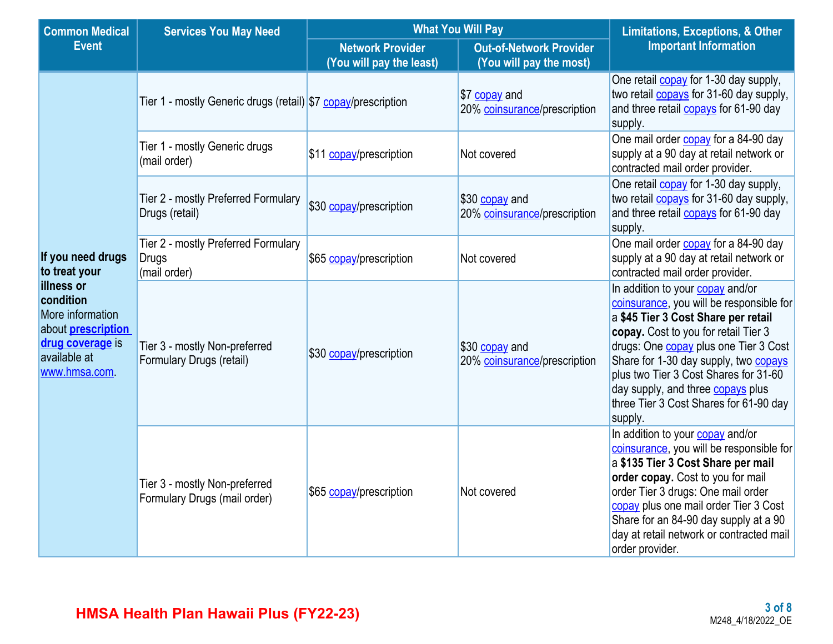| <b>Common Medical</b>                                                                                                        | <b>Services You May Need</b>                                        | <b>What You Will Pay</b> | <b>Limitations, Exceptions, &amp; Other</b><br><b>Important Information</b> |                                                                                                                                                                                                                                                                                                                                                                                                |
|------------------------------------------------------------------------------------------------------------------------------|---------------------------------------------------------------------|--------------------------|-----------------------------------------------------------------------------|------------------------------------------------------------------------------------------------------------------------------------------------------------------------------------------------------------------------------------------------------------------------------------------------------------------------------------------------------------------------------------------------|
| <b>Event</b>                                                                                                                 |                                                                     |                          |                                                                             |                                                                                                                                                                                                                                                                                                                                                                                                |
|                                                                                                                              | Tier 1 - mostly Generic drugs (retail) \$7 copay/prescription       |                          | \$7 copay and<br>20% coinsurance/prescription                               | One retail <b>copay</b> for 1-30 day supply,<br>two retail <b>copays</b> for 31-60 day supply,<br>and three retail copays for 61-90 day<br>supply.                                                                                                                                                                                                                                             |
|                                                                                                                              | Tier 1 - mostly Generic drugs<br>(mail order)                       | \$11 copay/prescription  | Not covered                                                                 | One mail order copay for a 84-90 day<br>supply at a 90 day at retail network or<br>contracted mail order provider.                                                                                                                                                                                                                                                                             |
|                                                                                                                              | Tier 2 - mostly Preferred Formulary<br>Drugs (retail)               | \$30 copay/prescription  | \$30 copay and<br>20% coinsurance/prescription                              | One retail copay for 1-30 day supply,<br>two retail <b>copays</b> for 31-60 day supply,<br>and three retail <b>copays</b> for 61-90 day<br>supply.                                                                                                                                                                                                                                             |
| If you need drugs<br>to treat your                                                                                           | Tier 2 - mostly Preferred Formulary<br><b>Drugs</b><br>(mail order) | \$65 copay/prescription  | Not covered                                                                 | One mail order <b>copay</b> for a 84-90 day<br>supply at a 90 day at retail network or<br>contracted mail order provider.                                                                                                                                                                                                                                                                      |
| illness or<br>condition<br>More information<br>about <b>prescription</b><br>drug coverage is<br>available at<br>www.hmsa.com | Tier 3 - mostly Non-preferred<br>Formulary Drugs (retail)           | \$30 copay/prescription  | \$30 copay and<br>20% coinsurance/prescription                              | In addition to your copay and/or<br>coinsurance, you will be responsible for<br>a \$45 Tier 3 Cost Share per retail<br>copay. Cost to you for retail Tier 3<br>drugs: One <b>copay</b> plus one Tier 3 Cost<br>Share for 1-30 day supply, two copays<br>plus two Tier 3 Cost Shares for 31-60<br>day supply, and three <b>copays</b> plus<br>three Tier 3 Cost Shares for 61-90 day<br>supply. |
|                                                                                                                              | Tier 3 - mostly Non-preferred<br>Formulary Drugs (mail order)       | \$65 copay/prescription  | Not covered                                                                 | In addition to your copay and/or<br>coinsurance, you will be responsible for<br>a \$135 Tier 3 Cost Share per mail<br>order copay. Cost to you for mail<br>order Tier 3 drugs: One mail order<br>copay plus one mail order Tier 3 Cost<br>Share for an 84-90 day supply at a 90<br>day at retail network or contracted mail<br>order provider.                                                 |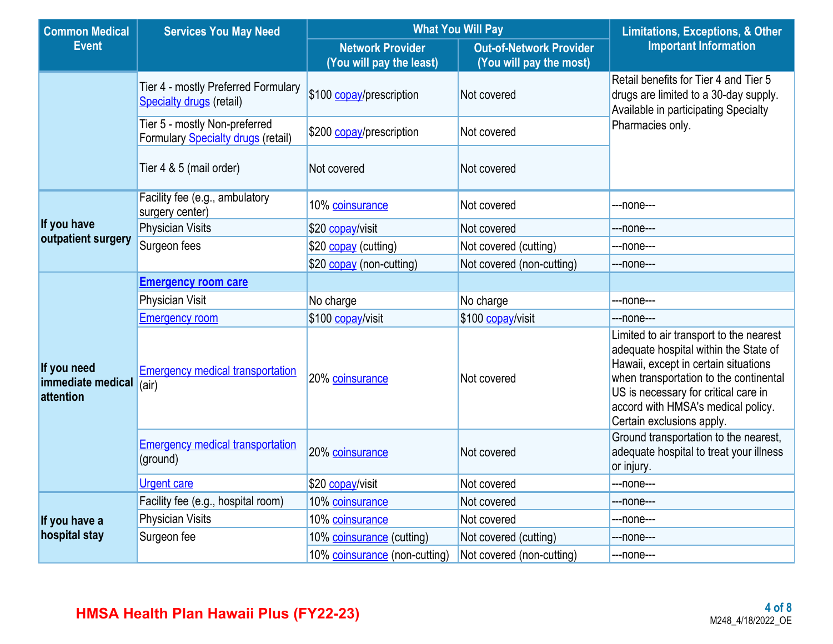| <b>Common Medical</b>                         | <b>Services You May Need</b>                                               | <b>What You Will Pay</b>                            | <b>Limitations, Exceptions, &amp; Other</b>               |                                                                                                                                                                                                                                                                               |  |  |
|-----------------------------------------------|----------------------------------------------------------------------------|-----------------------------------------------------|-----------------------------------------------------------|-------------------------------------------------------------------------------------------------------------------------------------------------------------------------------------------------------------------------------------------------------------------------------|--|--|
| <b>Event</b>                                  |                                                                            | <b>Network Provider</b><br>(You will pay the least) | <b>Out-of-Network Provider</b><br>(You will pay the most) | <b>Important Information</b>                                                                                                                                                                                                                                                  |  |  |
|                                               | Tier 4 - mostly Preferred Formulary<br>Specialty drugs (retail)            | \$100 copay/prescription                            | Not covered                                               | Retail benefits for Tier 4 and Tier 5<br>drugs are limited to a 30-day supply.<br>Available in participating Specialty                                                                                                                                                        |  |  |
|                                               | Tier 5 - mostly Non-preferred<br><b>Formulary Specialty drugs (retail)</b> | \$200 copay/prescription                            | Not covered                                               | Pharmacies only.                                                                                                                                                                                                                                                              |  |  |
|                                               | Tier 4 & 5 (mail order)                                                    | Not covered                                         | Not covered                                               |                                                                                                                                                                                                                                                                               |  |  |
|                                               | Facility fee (e.g., ambulatory<br>surgery center)                          | 10% coinsurance                                     | Not covered                                               | ---none---                                                                                                                                                                                                                                                                    |  |  |
| If you have                                   | <b>Physician Visits</b>                                                    | \$20 copay/visit                                    | Not covered                                               | ---none---                                                                                                                                                                                                                                                                    |  |  |
| outpatient surgery                            | Surgeon fees                                                               | \$20 copay (cutting)                                | Not covered (cutting)                                     | ---none---                                                                                                                                                                                                                                                                    |  |  |
|                                               |                                                                            | \$20 copay (non-cutting)                            | Not covered (non-cutting)                                 | ---none---                                                                                                                                                                                                                                                                    |  |  |
|                                               | <b>Emergency room care</b>                                                 |                                                     |                                                           |                                                                                                                                                                                                                                                                               |  |  |
|                                               | Physician Visit                                                            | No charge                                           | No charge                                                 | ---none---                                                                                                                                                                                                                                                                    |  |  |
|                                               | <b>Emergency room</b>                                                      | \$100 copay/visit                                   | \$100 copay/visit                                         | ---none---                                                                                                                                                                                                                                                                    |  |  |
| If you need<br>immediate medical<br>attention | <b>Emergency medical transportation</b><br>(air)                           | 20% coinsurance                                     | Not covered                                               | Limited to air transport to the nearest<br>adequate hospital within the State of<br>Hawaii, except in certain situations<br>when transportation to the continental<br>US is necessary for critical care in<br>accord with HMSA's medical policy.<br>Certain exclusions apply. |  |  |
|                                               | <b>Emergency medical transportation</b><br>(ground)                        | 20% coinsurance                                     | Not covered                                               | Ground transportation to the nearest,<br>adequate hospital to treat your illness<br>or injury.                                                                                                                                                                                |  |  |
|                                               | <b>Urgent care</b>                                                         | \$20 copay/visit                                    | Not covered                                               | ---none---                                                                                                                                                                                                                                                                    |  |  |
|                                               | Facility fee (e.g., hospital room)                                         | 10% coinsurance                                     | Not covered                                               | ---none---                                                                                                                                                                                                                                                                    |  |  |
| If you have a                                 | <b>Physician Visits</b>                                                    | 10% coinsurance                                     | Not covered                                               | ---none---                                                                                                                                                                                                                                                                    |  |  |
| hospital stay                                 | Surgeon fee                                                                | 10% coinsurance (cutting)                           | Not covered (cutting)                                     | ---none---                                                                                                                                                                                                                                                                    |  |  |
|                                               |                                                                            | 10% coinsurance (non-cutting)                       | Not covered (non-cutting)                                 | ---none---                                                                                                                                                                                                                                                                    |  |  |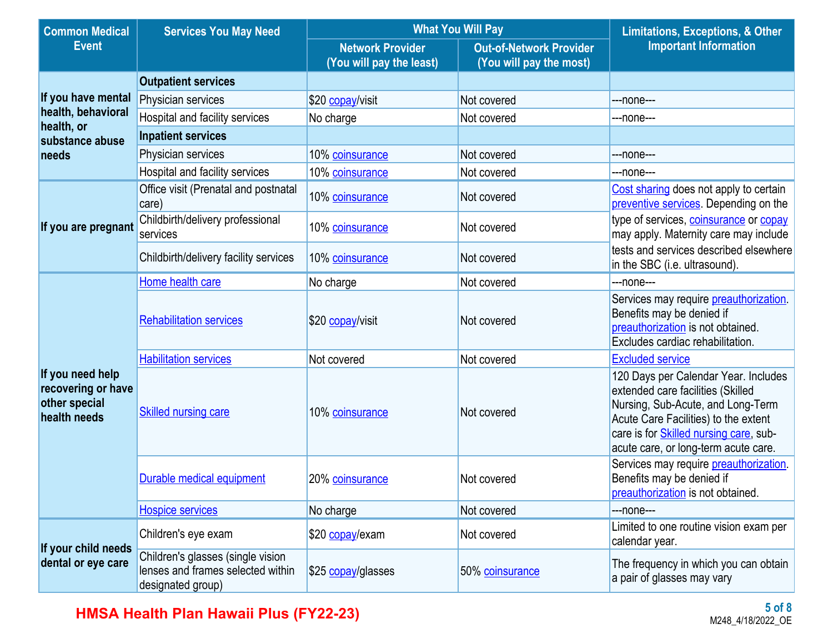| <b>Common Medical</b>                                                   | <b>Services You May Need</b>                                                                | <b>What You Will Pay</b>                            | <b>Limitations, Exceptions, &amp; Other</b>               |                                                                                                                                                                                                                                                  |  |
|-------------------------------------------------------------------------|---------------------------------------------------------------------------------------------|-----------------------------------------------------|-----------------------------------------------------------|--------------------------------------------------------------------------------------------------------------------------------------------------------------------------------------------------------------------------------------------------|--|
| <b>Event</b>                                                            |                                                                                             | <b>Network Provider</b><br>(You will pay the least) | <b>Out-of-Network Provider</b><br>(You will pay the most) | <b>Important Information</b>                                                                                                                                                                                                                     |  |
|                                                                         | <b>Outpatient services</b>                                                                  |                                                     |                                                           |                                                                                                                                                                                                                                                  |  |
| If you have mental                                                      | Physician services                                                                          | \$20 copay/visit                                    | Not covered                                               | ---none---                                                                                                                                                                                                                                       |  |
| health, behavioral<br>health, or                                        | Hospital and facility services                                                              | No charge                                           | Not covered                                               | ---none---                                                                                                                                                                                                                                       |  |
| substance abuse                                                         | <b>Inpatient services</b>                                                                   |                                                     |                                                           |                                                                                                                                                                                                                                                  |  |
| needs                                                                   | Physician services                                                                          | 10% coinsurance                                     | Not covered                                               | ---none---                                                                                                                                                                                                                                       |  |
|                                                                         | Hospital and facility services                                                              | 10% coinsurance                                     | Not covered                                               | ---none---                                                                                                                                                                                                                                       |  |
|                                                                         | Office visit (Prenatal and postnatal<br>care)                                               | 10% coinsurance                                     | Not covered                                               | Cost sharing does not apply to certain<br>preventive services. Depending on the                                                                                                                                                                  |  |
| If you are pregnant                                                     | Childbirth/delivery professional<br>services                                                | 10% coinsurance                                     | Not covered                                               | type of services, coinsurance or copay<br>may apply. Maternity care may include                                                                                                                                                                  |  |
|                                                                         | Childbirth/delivery facility services                                                       | 10% coinsurance                                     | Not covered                                               | tests and services described elsewhere<br>in the SBC (i.e. ultrasound).                                                                                                                                                                          |  |
|                                                                         | Home health care                                                                            | No charge                                           | Not covered                                               | ---none---                                                                                                                                                                                                                                       |  |
|                                                                         | <b>Rehabilitation services</b>                                                              | \$20 copay/visit                                    | Not covered                                               | Services may require preauthorization.<br>Benefits may be denied if<br>preauthorization is not obtained.<br>Excludes cardiac rehabilitation.                                                                                                     |  |
|                                                                         | <b>Habilitation services</b>                                                                | Not covered                                         | Not covered                                               | <b>Excluded service</b>                                                                                                                                                                                                                          |  |
| If you need help<br>recovering or have<br>other special<br>health needs | <b>Skilled nursing care</b>                                                                 | 10% coinsurance                                     | Not covered                                               | 120 Days per Calendar Year. Includes<br>extended care facilities (Skilled<br>Nursing, Sub-Acute, and Long-Term<br>Acute Care Facilities) to the extent<br>care is for <b>Skilled nursing care</b> , sub-<br>acute care, or long-term acute care. |  |
|                                                                         | Durable medical equipment<br>20% coinsurance                                                |                                                     | Not covered                                               | Services may require preauthorization.<br>Benefits may be denied if<br>preauthorization is not obtained.                                                                                                                                         |  |
|                                                                         | <b>Hospice services</b>                                                                     | No charge                                           | Not covered                                               | ---none---                                                                                                                                                                                                                                       |  |
| If your child needs                                                     | Children's eye exam                                                                         | \$20 copay/exam                                     | Not covered                                               | Limited to one routine vision exam per<br>calendar year.                                                                                                                                                                                         |  |
| dental or eye care                                                      | Children's glasses (single vision<br>lenses and frames selected within<br>designated group) | \$25 copay/glasses                                  | 50% coinsurance                                           | The frequency in which you can obtain<br>a pair of glasses may vary                                                                                                                                                                              |  |

**HMSA Health Plan Hawaii Plus (FY22-23)**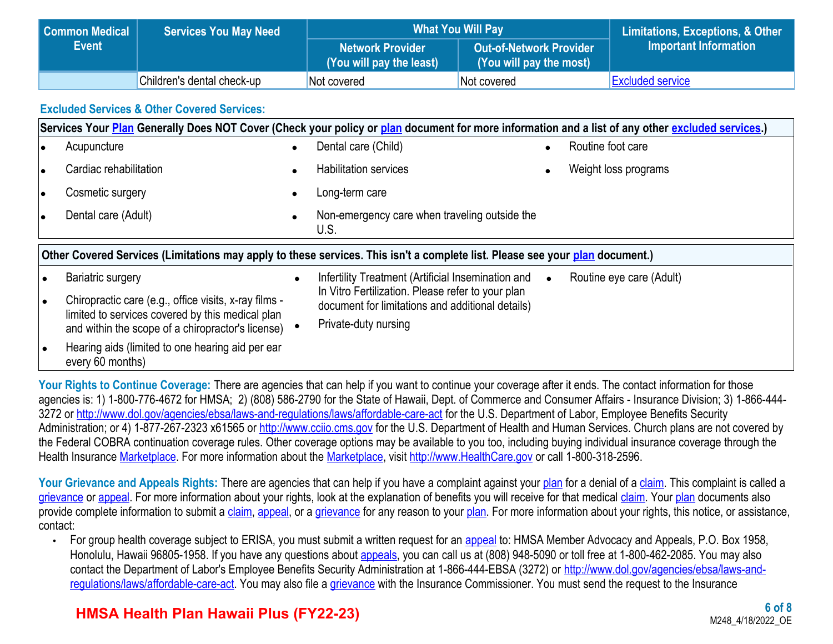| Common Medical | <b>Services You May Need</b> | <b>What You Will Pay</b>                           | Limitations, Exceptions, & Other                   |                         |
|----------------|------------------------------|----------------------------------------------------|----------------------------------------------------|-------------------------|
| <b>Event</b>   |                              | <b>Network Provider</b><br>You will pay the least) | Out-of-Network Provider<br>(You will pay the most) | Important Information   |
|                | Children's dental check-up   | Not covered                                        | Not covered                                        | <b>Excluded service</b> |

### **Excluded Services & Other Covered Services:**

|    | Services Your Plan Generally Does NOT Cover (Check your policy or plan document for more information and a list of any other excluded services.) |           |                                                                                                       |  |                          |  |  |
|----|--------------------------------------------------------------------------------------------------------------------------------------------------|-----------|-------------------------------------------------------------------------------------------------------|--|--------------------------|--|--|
|    | Acupuncture                                                                                                                                      | $\bullet$ | Dental care (Child)                                                                                   |  | Routine foot care        |  |  |
|    | Cardiac rehabilitation                                                                                                                           |           | <b>Habilitation services</b>                                                                          |  | Weight loss programs     |  |  |
| lo | Cosmetic surgery                                                                                                                                 | $\bullet$ | Long-term care                                                                                        |  |                          |  |  |
| ۱e | Dental care (Adult)                                                                                                                              | $\bullet$ | Non-emergency care when traveling outside the<br>U.S.                                                 |  |                          |  |  |
|    | Other Covered Services (Limitations may apply to these services. This isn't a complete list. Please see your plan document.)                     |           |                                                                                                       |  |                          |  |  |
|    | <b>Bariatric surgery</b>                                                                                                                         |           | Infertility Treatment (Artificial Insemination and                                                    |  | Routine eye care (Adult) |  |  |
|    | Chiropractic care (e.g., office visits, x-ray films -                                                                                            |           | In Vitro Fertilization. Please refer to your plan<br>document for limitations and additional details) |  |                          |  |  |
|    | limited to services covered by this medical plan<br>and within the scope of a chiropractor's license)                                            |           | Private-duty nursing                                                                                  |  |                          |  |  |
|    | Hearing aids (limited to one hearing aid per ear<br>every 60 months)                                                                             |           |                                                                                                       |  |                          |  |  |

Your Rights to Continue Coverage: There are agencies that can help if you want to continue your coverage after it ends. The contact information for those agencies is: 1) 1-800-776-4672 for HMSA; 2) (808) 586-2790 for the State of Hawaii, Dept. of Commerce and Consumer Affairs - Insurance Division; 3) 1-866-444 3272 or <http://www.dol.gov/agencies/ebsa/laws-and-regulations/laws/affordable-care-act>for the U.S. Department of Labor, Employee Benefits Security Administration; or 4) 1-877-267-2323 x61565 or [http://www.cciio.cms.gov](http://www.cciio.cms.gov/) for the U.S. Department of Health and Human Services. Church plans are not covered by the Federal COBRA continuation coverage rules. Other coverage options may be available to you too, including buying individual insurance coverage through the Health Insurance [Marketplace](https://www.healthcare.gov/sbc-glossary/#marketplace). For more information about the [Marketplace](https://www.healthcare.gov/sbc-glossary/#marketplace), visit [http://www.HealthCare.gov](http://www.healthcare.gov/) or call 1-800-318-2596.

Your Grievance and Appeals Rights: There are agencies that can help if you have a complaint against your [plan](https://www.healthcare.gov/sbc-glossary/#plan) for a denial of a [claim](https://www.healthcare.gov/sbc-glossary/#claim). This complaint is called a [grievance](https://www.healthcare.gov/sbc-glossary/#grievance) or [appeal](https://www.healthcare.gov/sbc-glossary/#appeal). For more information about your rights, look at the explanation of benefits you will receive for that medical [claim](https://www.healthcare.gov/sbc-glossary/#claim). Your [plan](https://www.healthcare.gov/sbc-glossary/#plan) documents also provide complete information to submit a [claim,](https://www.healthcare.gov/sbc-glossary/#claim) [appeal,](https://www.healthcare.gov/sbc-glossary/#appeal) or a [grievance](https://www.healthcare.gov/sbc-glossary/#grievance) for any reason to your [plan](https://www.healthcare.gov/sbc-glossary/#plan). For more information about your rights, this notice, or assistance, contact:

• For group health coverage subject to ERISA, you must submit a written request for an [appeal](https://www.healthcare.gov/sbc-glossary/#appeal) to: HMSA Member Advocacy and Appeals, P.O. Box 1958, Honolulu, Hawaii 96805-1958. If you have any questions about [appeals](https://www.healthcare.gov/sbc-glossary/#appeal), you can call us at (808) 948-5090 or toll free at 1-800-462-2085. You may also contact the Department of Labor's Employee Benefits Security Administration at 1-866-444-EBSA (3272) or [http://www.dol.gov/agencies/ebsa/laws-and](http://www.dol.gov/agencies/ebsa/laws-and-regulations/laws/affordable-care-act)[regulations/laws/affordable-care-act.](http://www.dol.gov/agencies/ebsa/laws-and-regulations/laws/affordable-care-act) You may also file a [grievance](https://www.healthcare.gov/sbc-glossary/#grievance) with the Insurance Commissioner. You must send the request to the Insurance

## **HMSA Health Plan Hawaii Plus (FY22-23)**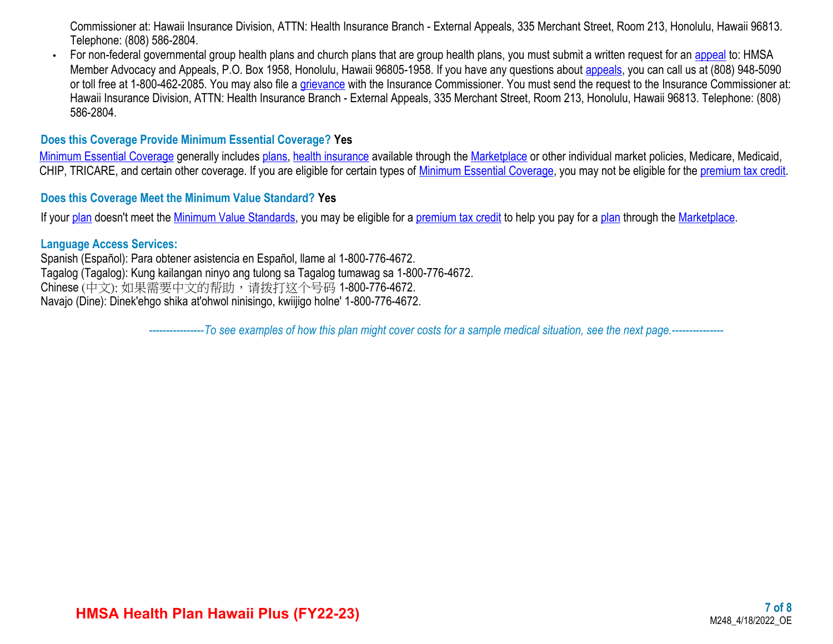Commissioner at: Hawaii Insurance Division, ATTN: Health Insurance Branch - External Appeals, 335 Merchant Street, Room 213, Honolulu, Hawaii 96813. Telephone: (808) 586-2804.

• For non-federal governmental group health plans and church plans that are group health plans, you must submit a written request for an [appeal](https://www.healthcare.gov/sbc-glossary/#appeal) to: HMSA Member Advocacy and Appeals, P.O. Box 1958, Honolulu, Hawaii 96805-1958. If you have any questions about [appeals](https://www.healthcare.gov/sbc-glossary/#appeal), you can call us at (808) 948-5090 or toll free at 1-800-462-2085. You may also file a [grievance](https://www.healthcare.gov/sbc-glossary/#grievance) with the Insurance Commissioner. You must send the request to the Insurance Commissioner at: Hawaii Insurance Division, ATTN: Health Insurance Branch - External Appeals, 335 Merchant Street, Room 213, Honolulu, Hawaii 96813. Telephone: (808) 586-2804.

#### **Does this Coverage Provide Minimum Essential Coverage? Yes**

[Minimum Essential Coverage](https://www.healthcare.gov/sbc-glossary/#minimum-essential-coverage) generally includes [plans](https://www.healthcare.gov/sbc-glossary/#plan), [health insurance](https://www.healthcare.gov/sbc-glossary/#health-insurance) available through the [Marketplace](https://www.healthcare.gov/sbc-glossary/#marketplace) or other individual market policies, Medicare, Medicaid, CHIP, TRICARE, and certain other coverage. If you are eligible for certain types of [Minimum Essential Coverage](https://www.healthcare.gov/sbc-glossary/#minimum-essential-coverage), you may not be eligible for the [premium tax credit.](https://www.healthcare.gov/sbc-glossary/#premium-tax-credits)

#### **Does this Coverage Meet the Minimum Value Standard? Yes**

If your [plan](https://www.healthcare.gov/sbc-glossary/#plan) doesn't meet the [Minimum Value Standards,](https://www.healthcare.gov/sbc-glossary/#minimum-value-standard) you may be eligible for a [premium tax credit](https://www.healthcare.gov/sbc-glossary/#premium-tax-credits) to help you pay for a [plan](https://www.healthcare.gov/sbc-glossary/#plan) through the [Marketplace.](https://www.healthcare.gov/sbc-glossary/#marketplace)

#### **Language Access Services:**

Spanish (Español): Para obtener asistencia en Español, llame al 1-800-776-4672. Tagalog (Tagalog): Kung kailangan ninyo ang tulong sa Tagalog tumawag sa 1-800-776-4672. Chinese (中文): 如果需要中文的帮助,请拨打这个号码 1-800-776-4672. Navajo (Dine): Dinek'ehgo shika at'ohwol ninisingo, kwiijigo holne' 1-800-776-4672.

----------------*To see examples of how this plan might cover costs for a sample medical situation, see the next page.-----------*----